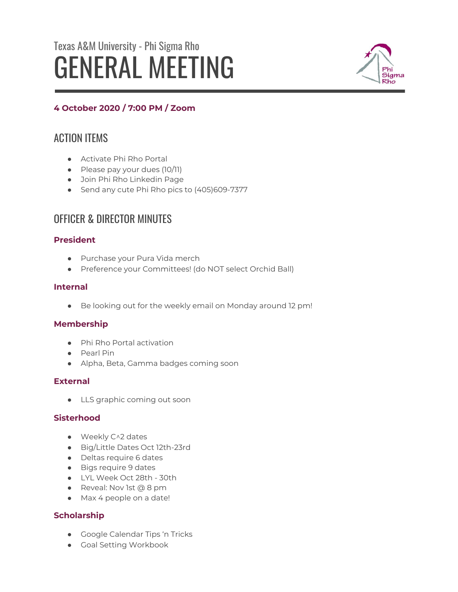# Texas A&M University - Phi Sigma Rho GENERAL MEETING



# **4 October 2020 / 7:00 PM / Zoom**

# ACTION ITEMS

- **•** Activate Phi Rho Portal
- Please pay your dues (10/11)
- Join Phi Rho Linkedin Page
- Send any cute Phi Rho pics to (405)609-7377

# OFFICER & DIRECTOR MINUTES

# **President**

- Purchase your Pura Vida merch
- Preference your Committees! (do NOT select Orchid Ball)

# **Internal**

● Be looking out for the weekly email on Monday around 12 pm!

# **Membership**

- Phi Rho Portal activation
- Pearl Pin
- Alpha, Beta, Gamma badges coming soon

# **External**

● LLS graphic coming out soon

# **Sisterhood**

- Weekly C^2 dates
- Big/Little Dates Oct 12th-23rd
- Deltas require 6 dates
- Bigs require 9 dates
- LYL Week Oct 28th 30th
- Reveal: Nov 1st @ 8 pm
- Max 4 people on a date!

# **Scholarship**

- Google Calendar Tips 'n Tricks
- Goal Setting Workbook